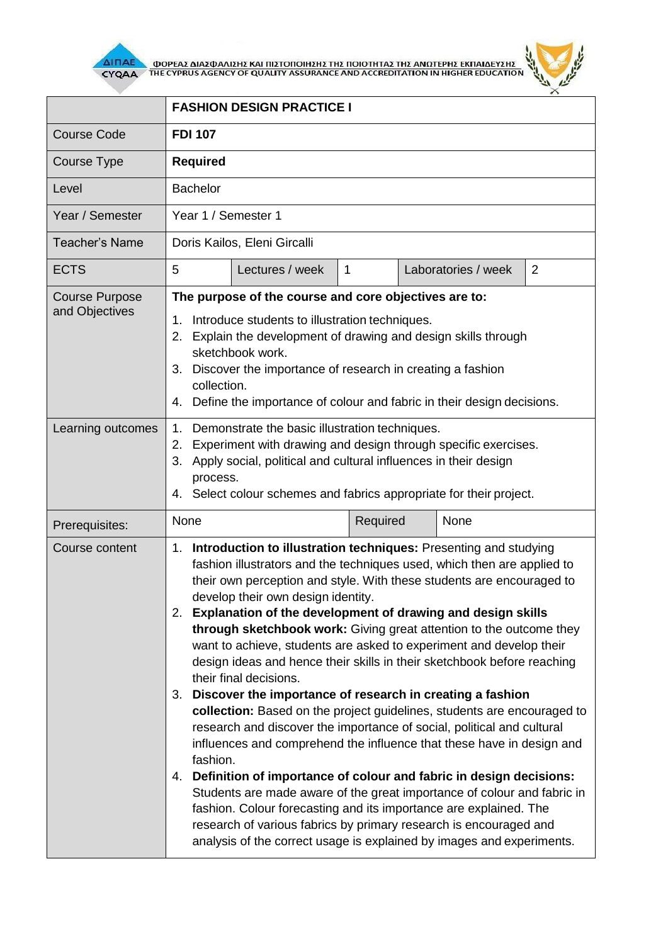

 $\overline{\Delta}$  (MOPEA) AND THE CYPRUS AGENCY OF QUALITY ASSURANCE AND ACCREDITATION IN HIGHER EDUCATION



|                                         | <b>FASHION DESIGN PRACTICE I</b>                                                                                                                                                                                                                                                                                                                                                                                                                                                                                                                                                                                                                                                                                                                                                                                                                                                                                                                                                                                                                                                                                                                                                                                                                                             |                 |              |  |                     |                |
|-----------------------------------------|------------------------------------------------------------------------------------------------------------------------------------------------------------------------------------------------------------------------------------------------------------------------------------------------------------------------------------------------------------------------------------------------------------------------------------------------------------------------------------------------------------------------------------------------------------------------------------------------------------------------------------------------------------------------------------------------------------------------------------------------------------------------------------------------------------------------------------------------------------------------------------------------------------------------------------------------------------------------------------------------------------------------------------------------------------------------------------------------------------------------------------------------------------------------------------------------------------------------------------------------------------------------------|-----------------|--------------|--|---------------------|----------------|
| <b>Course Code</b>                      | <b>FDI 107</b>                                                                                                                                                                                                                                                                                                                                                                                                                                                                                                                                                                                                                                                                                                                                                                                                                                                                                                                                                                                                                                                                                                                                                                                                                                                               |                 |              |  |                     |                |
| Course Type                             | <b>Required</b>                                                                                                                                                                                                                                                                                                                                                                                                                                                                                                                                                                                                                                                                                                                                                                                                                                                                                                                                                                                                                                                                                                                                                                                                                                                              |                 |              |  |                     |                |
| Level                                   | <b>Bachelor</b>                                                                                                                                                                                                                                                                                                                                                                                                                                                                                                                                                                                                                                                                                                                                                                                                                                                                                                                                                                                                                                                                                                                                                                                                                                                              |                 |              |  |                     |                |
| Year / Semester                         | Year 1 / Semester 1                                                                                                                                                                                                                                                                                                                                                                                                                                                                                                                                                                                                                                                                                                                                                                                                                                                                                                                                                                                                                                                                                                                                                                                                                                                          |                 |              |  |                     |                |
| <b>Teacher's Name</b>                   | Doris Kailos, Eleni Gircalli                                                                                                                                                                                                                                                                                                                                                                                                                                                                                                                                                                                                                                                                                                                                                                                                                                                                                                                                                                                                                                                                                                                                                                                                                                                 |                 |              |  |                     |                |
| <b>ECTS</b>                             | 5                                                                                                                                                                                                                                                                                                                                                                                                                                                                                                                                                                                                                                                                                                                                                                                                                                                                                                                                                                                                                                                                                                                                                                                                                                                                            | Lectures / week | $\mathbf{1}$ |  | Laboratories / week | $\overline{2}$ |
| <b>Course Purpose</b><br>and Objectives | The purpose of the course and core objectives are to:<br>Introduce students to illustration techniques.<br>1.<br>Explain the development of drawing and design skills through<br>2.<br>sketchbook work.<br>Discover the importance of research in creating a fashion<br>3.<br>collection.<br>Define the importance of colour and fabric in their design decisions.<br>4.                                                                                                                                                                                                                                                                                                                                                                                                                                                                                                                                                                                                                                                                                                                                                                                                                                                                                                     |                 |              |  |                     |                |
| Learning outcomes                       | Demonstrate the basic illustration techniques.<br>1.<br>Experiment with drawing and design through specific exercises.<br>2.<br>Apply social, political and cultural influences in their design<br>3.<br>process.<br>4. Select colour schemes and fabrics appropriate for their project.                                                                                                                                                                                                                                                                                                                                                                                                                                                                                                                                                                                                                                                                                                                                                                                                                                                                                                                                                                                     |                 |              |  |                     |                |
| Prerequisites:                          | None                                                                                                                                                                                                                                                                                                                                                                                                                                                                                                                                                                                                                                                                                                                                                                                                                                                                                                                                                                                                                                                                                                                                                                                                                                                                         |                 | Required     |  | None                |                |
| Course content                          | Introduction to illustration techniques: Presenting and studying<br>1.<br>fashion illustrators and the techniques used, which then are applied to<br>their own perception and style. With these students are encouraged to<br>develop their own design identity.<br>Explanation of the development of drawing and design skills<br>2.<br>through sketchbook work: Giving great attention to the outcome they<br>want to achieve, students are asked to experiment and develop their<br>design ideas and hence their skills in their sketchbook before reaching<br>their final decisions.<br>Discover the importance of research in creating a fashion<br>3.<br>collection: Based on the project guidelines, students are encouraged to<br>research and discover the importance of social, political and cultural<br>influences and comprehend the influence that these have in design and<br>fashion.<br>4. Definition of importance of colour and fabric in design decisions:<br>Students are made aware of the great importance of colour and fabric in<br>fashion. Colour forecasting and its importance are explained. The<br>research of various fabrics by primary research is encouraged and<br>analysis of the correct usage is explained by images and experiments. |                 |              |  |                     |                |